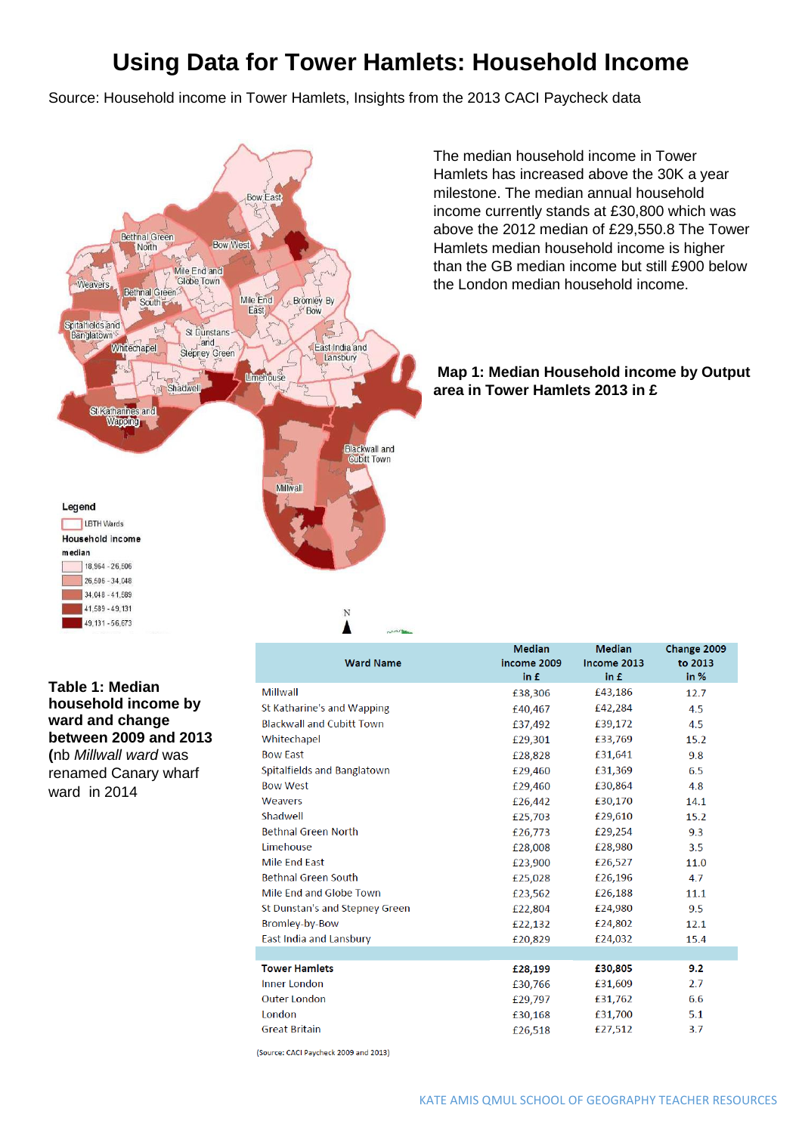## **Using Data for Tower Hamlets: Household Income**

Source: Household income in Tower Hamlets, Insights from the 2013 CACI Paycheck data



The median household income in Tower Hamlets has increased above the 30K a year milestone. The median annual household income currently stands at £30,800 which was above the 2012 median of £29,550.8 The Tower Hamlets median household income is higher than the GB median income but still £900 below the London median household income.

#### **Map 1: Median Household income by Output area in Tower Hamlets 2013 in £**

**Table 1: Median household income by ward and change between 2009 and 2013 (**nb *Millwall ward* was renamed Canary wharf ward in 2014

|                                  | <b>Median</b> | <b>Median</b> | Change 2009 |
|----------------------------------|---------------|---------------|-------------|
| <b>Ward Name</b>                 | income 2009   | Income 2013   | to 2013     |
|                                  | in £          | in £          | in %        |
| Millwall                         | £38,306       | £43,186       | 12.7        |
| St Katharine's and Wapping       | £40.467       | £42,284       | 4.5         |
| <b>Blackwall and Cubitt Town</b> | £37,492       | £39,172       | 4.5         |
| Whitechapel                      | £29,301       | £33,769       | 15.2        |
| <b>Bow East</b>                  | £28,828       | £31,641       | 9.8         |
| Spitalfields and Banglatown      | £29,460       | £31,369       | 6.5         |
| <b>Bow West</b>                  | £29,460       | £30,864       | 4.8         |
| Weavers                          | £26,442       | £30,170       | 14.1        |
| Shadwell                         | £25,703       | £29,610       | 15.2        |
| <b>Bethnal Green North</b>       | £26,773       | £29,254       | 9.3         |
| Limehouse                        | £28,008       | £28,980       | 3.5         |
| <b>Mile End East</b>             | £23,900       | £26,527       | 11.0        |
| <b>Bethnal Green South</b>       | £25,028       | £26,196       | 4.7         |
| Mile End and Globe Town          | £23,562       | £26,188       | 11.1        |
| St Dunstan's and Stepney Green   | £22,804       | £24,980       | 9.5         |
| <b>Bromley-by-Bow</b>            | £22,132       | £24,802       | 12.1        |
| East India and Lansbury          | £20,829       | £24,032       | 15.4        |
|                                  |               |               |             |
| <b>Tower Hamlets</b>             | £28,199       | £30,805       | 9.2         |
| <b>Inner London</b>              | £30,766       | £31,609       | 2.7         |
| <b>Outer London</b>              | £29,797       | £31,762       | 6.6         |
| London                           | £30,168       | £31,700       | 5.1         |
| <b>Great Britain</b>             | £26,518       | £27,512       | 3.7         |
|                                  |               |               |             |

(Source: CACI Paycheck 2009 and 2013)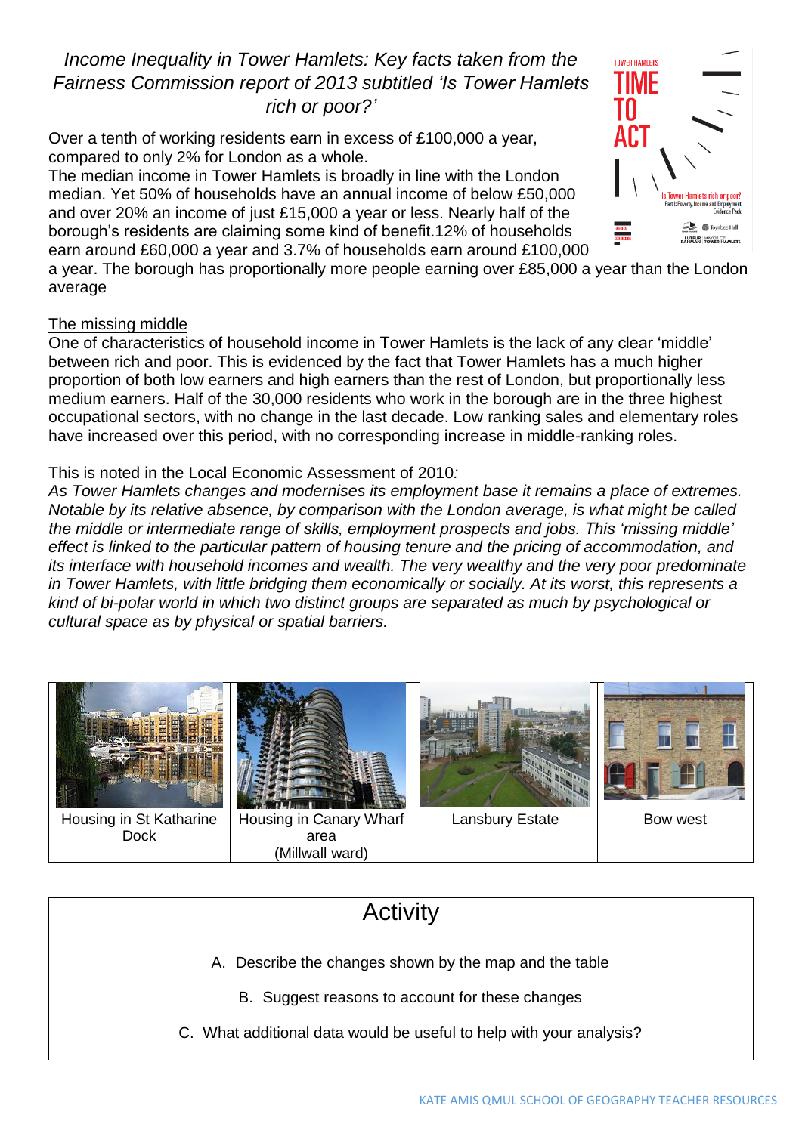### *Income Inequality in Tower Hamlets: Key facts taken from the Fairness Commission report of 2013 subtitled 'Is Tower Hamlets rich or poor?'*

Over a tenth of working residents earn in excess of £100,000 a year, compared to only 2% for London as a whole.

The median income in Tower Hamlets is broadly in line with the London median. Yet 50% of households have an annual income of below £50,000 and over 20% an income of just £15,000 a year or less. Nearly half of the borough's residents are claiming some kind of benefit.12% of households earn around £60,000 a year and 3.7% of households earn around £100,000



a year. The borough has proportionally more people earning over £85,000 a year than the London average

### The missing middle

One of characteristics of household income in Tower Hamlets is the lack of any clear 'middle' between rich and poor. This is evidenced by the fact that Tower Hamlets has a much higher proportion of both low earners and high earners than the rest of London, but proportionally less medium earners. Half of the 30,000 residents who work in the borough are in the three highest occupational sectors, with no change in the last decade. Low ranking sales and elementary roles have increased over this period, with no corresponding increase in middle-ranking roles.

### This is noted in the Local Economic Assessment of 2010*:*

*As Tower Hamlets changes and modernises its employment base it remains a place of extremes. Notable by its relative absence, by comparison with the London average, is what might be called the middle or intermediate range of skills, employment prospects and jobs. This 'missing middle' effect is linked to the particular pattern of housing tenure and the pricing of accommodation, and its interface with household incomes and wealth. The very wealthy and the very poor predominate in Tower Hamlets, with little bridging them economically or socially. At its worst, this represents a kind of bi-polar world in which two distinct groups are separated as much by psychological or cultural space as by physical or spatial barriers.*



# **Activity** A. Describe the changes shown by the map and the table B. Suggest reasons to account for these changes C. What additional data would be useful to help with your analysis?